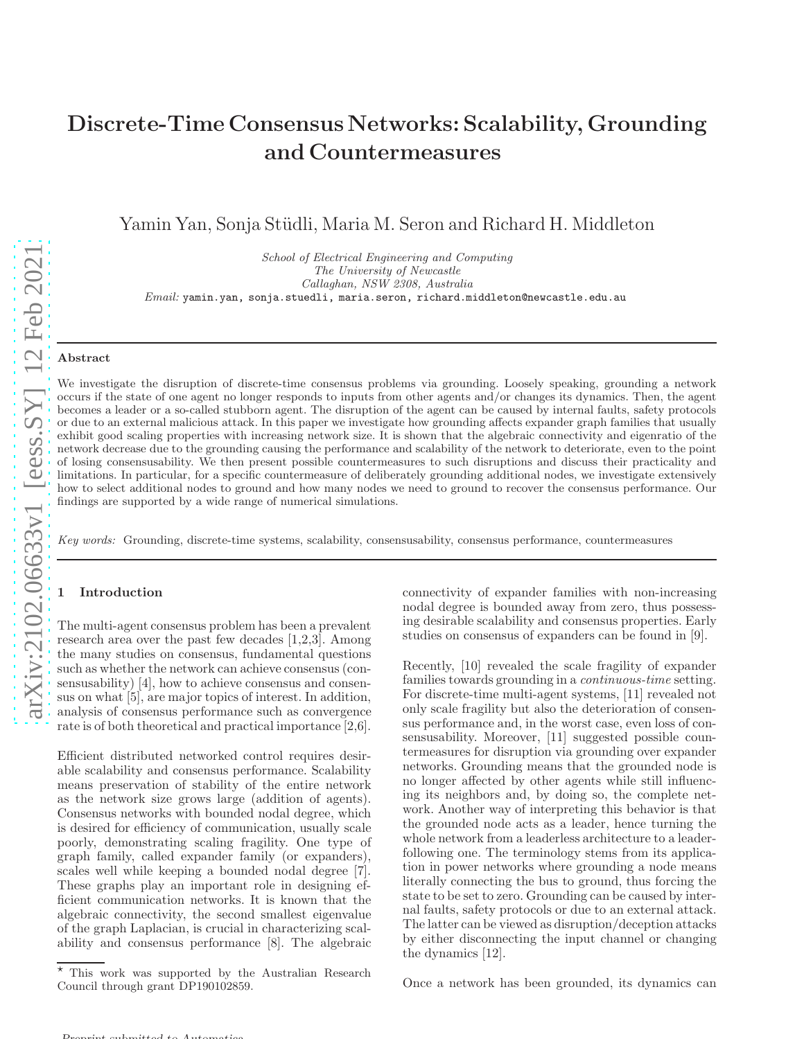# Discrete-Time Consensus Networks: Scalability, Grounding and Countermeasures

Yamin Yan, Sonja Stüdli, Maria M. Seron and Richard H. Middleton

School of Electrical Engineering and Computing The University of Newcastle Callaghan, NSW 2308, Australia  $\n \textit{Email: }$  yamin.yan, sonja.stuedli, maria.seron, richard.middleton@newcastle.edu.au

#### Abstract

We investigate the disruption of discrete-time consensus problems via grounding. Loosely speaking, grounding a network occurs if the state of one agent no longer responds to inputs from other agents and/or changes its dynamics. Then, the agent becomes a leader or a so-called stubborn agent. The disruption of the agent can be caused by internal faults, safety protocols or due to an external malicious attack. In this paper we investigate how grounding affects expander graph families that usually exhibit good scaling properties with increasing network size. It is shown that the algebraic connectivity and eigenratio of the network decrease due to the grounding causing the performance and scalability of the network to deteriorate, even to the point of losing consensusability. We then present possible countermeasures to such disruptions and discuss their practicality and limitations. In particular, for a specific countermeasure of deliberately grounding additional nodes, we investigate extensively how to select additional nodes to ground and how many nodes we need to ground to recover the consensus performance. Our findings are supported by a wide range of numerical simulations.

Key words: Grounding, discrete-time systems, scalability, consensusability, consensus performance, countermeasures

## **Introduction**

The multi-agent consensus problem has been a prevalent research area over the past few decades [1,2,3]. Among the many studies on consensus, fundamental questions such as whether the network can achieve consensus (consensusability) [4], how to achieve consensus and consensus on what [5], are major topics of interest. In addition, analysis of consensus performance such as convergence rate is of both theoretical and practical importance [2,6].

Efficient distributed networked control requires desirable scalability and consensus performance. Scalability means preservation of stability of the entire network as the network size grows large (addition of agents). Consensus networks with bounded nodal degree, which is desired for efficiency of communication, usually scale poorly, demonstrating scaling fragility. One type of graph family, called expander family (or expanders), scales well while keeping a bounded nodal degree [7]. These graphs play an important role in designing efficient communication networks. It is known that the algebraic connectivity, the second smallest eigenvalue of the graph Laplacian, is crucial in characterizing scalability and consensus performance [8]. The algebraic connectivity of expander families with non-increasing nodal degree is bounded away from zero, thus possessing desirable scalability and consensus properties. Early studies on consensus of expanders can be found in [9].

Recently, [10] revealed the scale fragility of expander families towards grounding in a *continuous-time* setting. For discrete-time multi-agent systems, [11] revealed not only scale fragility but also the deterioration of consensus performance and, in the worst case, even loss of consensusability. Moreover, [11] suggested possible countermeasures for disruption via grounding over expander networks. Grounding means that the grounded node is no longer affected by other agents while still influencing its neighbors and, by doing so, the complete network. Another way of interpreting this behavior is that the grounded node acts as a leader, hence turning the whole network from a leaderless architecture to a leaderfollowing one. The terminology stems from its application in power networks where grounding a node means literally connecting the bus to ground, thus forcing the state to be set to zero. Grounding can be caused by internal faults, safety protocols or due to an external attack. The latter can be viewed as disruption/deception attacks by either disconnecting the input channel or changing the dynamics [12].

Once a network has been grounded, its dynamics can

This work was supported by the Australian Research Council through grant DP190102859.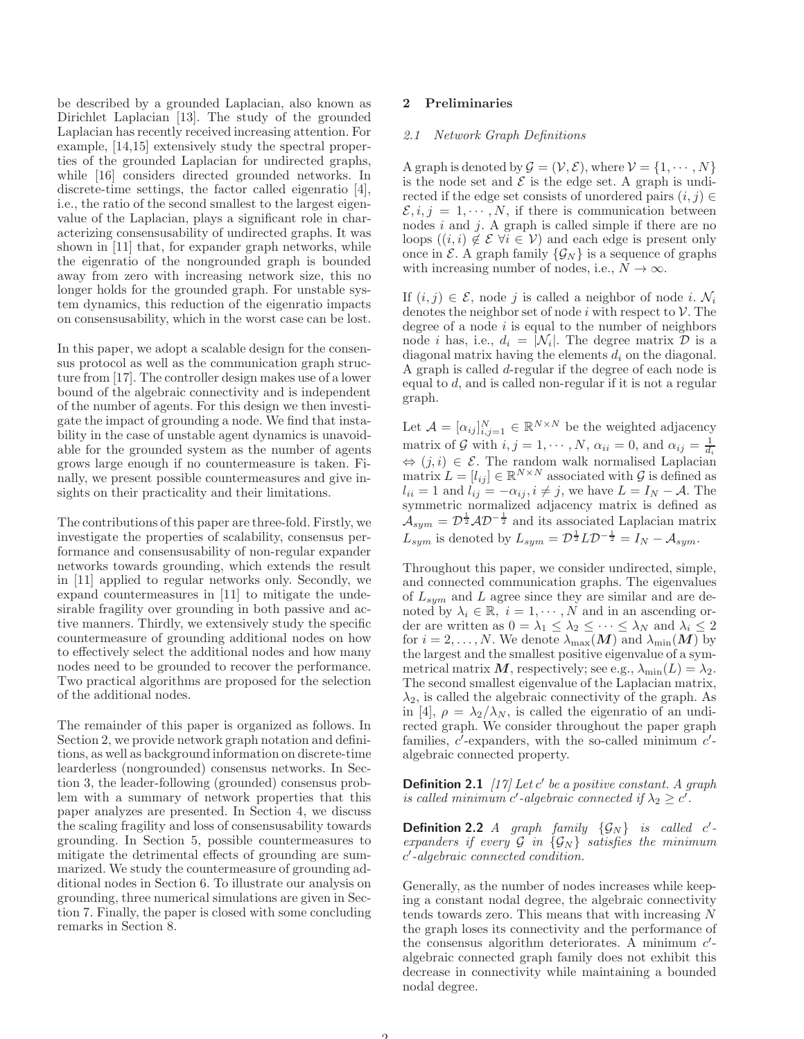be described by a grounded Laplacian, also known as Dirichlet Laplacian [13]. The study of the grounded Laplacian has recently received increasing attention. For example, [14,15] extensively study the spectral properties of the grounded Laplacian for undirected graphs, while [16] considers directed grounded networks. In discrete-time settings, the factor called eigenratio [4], i.e., the ratio of the second smallest to the largest eigenvalue of the Laplacian, plays a significant role in characterizing consensusability of undirected graphs. It was shown in [11] that, for expander graph networks, while the eigenratio of the nongrounded graph is bounded away from zero with increasing network size, this no longer holds for the grounded graph. For unstable system dynamics, this reduction of the eigenratio impacts on consensusability, which in the worst case can be lost.

In this paper, we adopt a scalable design for the consensus protocol as well as the communication graph structure from [17]. The controller design makes use of a lower bound of the algebraic connectivity and is independent of the number of agents. For this design we then investigate the impact of grounding a node. We find that instability in the case of unstable agent dynamics is unavoidable for the grounded system as the number of agents grows large enough if no countermeasure is taken. Finally, we present possible countermeasures and give insights on their practicality and their limitations.

The contributions of this paper are three-fold. Firstly, we investigate the properties of scalability, consensus performance and consensusability of non-regular expander networks towards grounding, which extends the result in [11] applied to regular networks only. Secondly, we expand countermeasures in [11] to mitigate the undesirable fragility over grounding in both passive and active manners. Thirdly, we extensively study the specific countermeasure of grounding additional nodes on how to effectively select the additional nodes and how many nodes need to be grounded to recover the performance. Two practical algorithms are proposed for the selection of the additional nodes.

The remainder of this paper is organized as follows. In Section 2, we provide network graph notation and definitions, as well as background information on discrete-time learderless (nongrounded) consensus networks. In Section 3, the leader-following (grounded) consensus problem with a summary of network properties that this paper analyzes are presented. In Section 4, we discuss the scaling fragility and loss of consensusability towards grounding. In Section 5, possible countermeasures to mitigate the detrimental effects of grounding are summarized. We study the countermeasure of grounding additional nodes in Section 6. To illustrate our analysis on grounding, three numerical simulations are given in Section 7. Finally, the paper is closed with some concluding remarks in Section 8.

#### 2 Preliminaries

## 2.1 Network Graph Definitions

A graph is denoted by  $\mathcal{G} = (\mathcal{V}, \mathcal{E})$ , where  $\mathcal{V} = \{1, \cdots, N\}$ is the node set and  $\mathcal E$  is the edge set. A graph is undirected if the edge set consists of unordered pairs  $(i, j) \in$  $\mathcal{E}, i, j = 1, \cdots, N$ , if there is communication between nodes  $i$  and  $j$ . A graph is called simple if there are no loops  $((i, i) \notin \mathcal{E} \forall i \in \mathcal{V})$  and each edge is present only once in  $\mathcal{E}$ . A graph family  $\{\mathcal{G}_N\}$  is a sequence of graphs with increasing number of nodes, i.e.,  $N \to \infty$ .

If  $(i, j) \in \mathcal{E}$ , node j is called a neighbor of node i.  $\mathcal{N}_i$ denotes the neighbor set of node i with respect to  $\mathcal V$ . The degree of a node  $i$  is equal to the number of neighbors node *i* has, i.e.,  $d_i = |\mathcal{N}_i|$ . The degree matrix  $\mathcal{D}$  is a diagonal matrix having the elements  $d_i$  on the diagonal. A graph is called d-regular if the degree of each node is equal to d, and is called non-regular if it is not a regular graph.

Let  $\mathcal{A} = [\alpha_{ij}]_{i,j=1}^N \in \mathbb{R}^{N \times N}$  be the weighted adjacency matrix of G with  $i, j = 1, \dots, N$ ,  $\alpha_{ii} = 0$ , and  $\alpha_{ij} = \frac{1}{d_i}$  $\Leftrightarrow (j, i) \in \mathcal{E}$ . The random walk normalised Laplacian matrix  $L = [l_{ij}] \in \mathbb{R}^{N \times N}$  associated with G is defined as  $l_{ii} = 1$  and  $l_{ij} = -\alpha_{ij}, i \neq j$ , we have  $L = I_N - A$ . The symmetric normalized adjacency matrix is defined as  $\mathcal{A}_{sym} = \mathcal{D}^{\frac{1}{2}} \mathcal{A} \mathcal{D}^{-\frac{1}{2}}$  and its associated Laplacian matrix  $L_{sym}$  is denoted by  $L_{sym} = \mathcal{D}^{\frac{1}{2}} L \mathcal{D}^{-\frac{1}{2}} = I_N - \mathcal{A}_{sym}$ .

Throughout this paper, we consider undirected, simple, and connected communication graphs. The eigenvalues of  $L_{sym}$  and  $L$  agree since they are similar and are denoted by  $\lambda_i \in \mathbb{R}$ ,  $i = 1, \dots, N$  and in an ascending order are written as  $0 = \lambda_1 \leq \lambda_2 \leq \cdots \leq \lambda_N$  and  $\lambda_i \leq 2$ for  $i = 2, ..., N$ . We denote  $\lambda_{\max}(\boldsymbol{M})$  and  $\lambda_{\min}(\boldsymbol{M})$  by the largest and the smallest positive eigenvalue of a symmetrical matrix M, respectively; see e.g.,  $\lambda_{\min}(L) = \lambda_2$ . The second smallest eigenvalue of the Laplacian matrix,  $\lambda_2$ , is called the algebraic connectivity of the graph. As in [4],  $\rho = \lambda_2/\lambda_N$ , is called the eigenratio of an undirected graph. We consider throughout the paper graph families,  $c'$ -expanders, with the so-called minimum  $c'$ algebraic connected property.

**Definition 2.1** [17] Let c' be a positive constant. A graph is called minimum c'-algebraic connected if  $\lambda_2 \geq c'$ .

**Definition 2.2** A graph family  $\{G_N\}$  is called c'expanders if every  $G$  in  $\{G_N\}$  satisfies the minimum c ′ -algebraic connected condition.

Generally, as the number of nodes increases while keeping a constant nodal degree, the algebraic connectivity tends towards zero. This means that with increasing N the graph loses its connectivity and the performance of the consensus algorithm deteriorates. A minimum c'algebraic connected graph family does not exhibit this decrease in connectivity while maintaining a bounded nodal degree.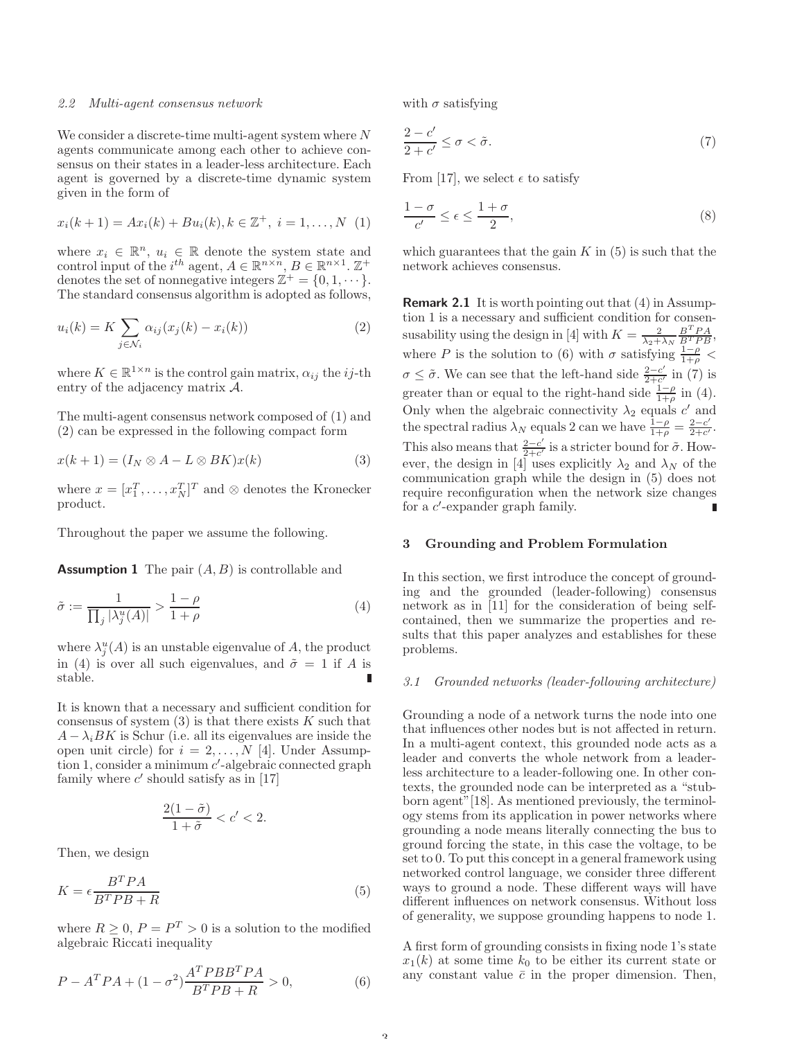#### 2.2 Multi-agent consensus network

We consider a discrete-time multi-agent system where N agents communicate among each other to achieve consensus on their states in a leader-less architecture. Each agent is governed by a discrete-time dynamic system given in the form of

$$
x_i(k+1) = Ax_i(k) + Bu_i(k), k \in \mathbb{Z}^+, \ i = 1, ..., N \ (1)
$$

where  $x_i \in \mathbb{R}^n$ ,  $u_i \in \mathbb{R}$  denote the system state and control input of the  $i^{th}$  agent,  $A \in \mathbb{R}^{n \times n}$ ,  $B \in \mathbb{R}^{n \times 1}$ .  $\mathbb{Z}^+$ denotes the set of nonnegative integers  $\mathbb{Z}^+ = \{0, 1, \dots\}$ . The standard consensus algorithm is adopted as follows,

$$
u_i(k) = K \sum_{j \in \mathcal{N}_i} \alpha_{ij} (x_j(k) - x_i(k)) \tag{2}
$$

where  $K \in \mathbb{R}^{1 \times n}$  is the control gain matrix,  $\alpha_{ij}$  the *ij*-th entry of the adjacency matrix A.

The multi-agent consensus network composed of (1) and (2) can be expressed in the following compact form

$$
x(k+1) = (I_N \otimes A - L \otimes BK)x(k)
$$
 (3)

where  $x = [x_1^T, \dots, x_N^T]^T$  and ⊗ denotes the Kronecker product.

Throughout the paper we assume the following.

**Assumption 1** The pair  $(A, B)$  is controllable and

$$
\tilde{\sigma} := \frac{1}{\prod_j |\lambda_j^u(A)|} > \frac{1-\rho}{1+\rho} \tag{4}
$$

where  $\lambda_j^u(A)$  is an unstable eigenvalue of A, the product in (4) is over all such eigenvalues, and  $\tilde{\sigma} = 1$  if A is stable.

It is known that a necessary and sufficient condition for consensus of system  $(3)$  is that there exists K such that  $A - \lambda_i B K$  is Schur (i.e. all its eigenvalues are inside the open unit circle) for  $i = 2, ..., N$  [4]. Under Assumption 1, consider a minimum  $c'$ -algebraic connected graph family where  $c'$  should satisfy as in [17]

$$
\frac{2(1-\tilde{\sigma})}{1+\tilde{\sigma}} < c' < 2.
$$

Then, we design

$$
K = \epsilon \frac{B^T P A}{B^T P B + R} \tag{5}
$$

where  $R \geq 0$ ,  $P = P^T > 0$  is a solution to the modified algebraic Riccati inequality

$$
P - ATPA + (1 - \sigma2) \frac{ATPBBTPA}{BTPB + R} > 0,
$$
 (6)

with  $\sigma$  satisfying

$$
\frac{2-c'}{2+c'} \le \sigma < \tilde{\sigma}.\tag{7}
$$

From [17], we select  $\epsilon$  to satisfy

$$
\frac{1-\sigma}{c'} \le \epsilon \le \frac{1+\sigma}{2},\tag{8}
$$

which guarantees that the gain  $K$  in  $(5)$  is such that the network achieves consensus.

Remark 2.1 It is worth pointing out that (4) in Assumption 1 is a necessary and sufficient condition for consensusability using the design in [4] with  $K = \frac{2}{\lambda_2 + \lambda_N} \frac{B^T P A}{B^T P B}$ , where P is the solution to (6) with  $\sigma$  satisfying  $\frac{1-\rho}{1+\rho}$  <  $\sigma \leq \tilde{\sigma}$ . We can see that the left-hand side  $\frac{2-c'}{2+c'}$  in (7) is greater than or equal to the right-hand side  $\frac{1-\rho}{1+\rho}$  in (4). Only when the algebraic connectivity  $\lambda_2$  equals c' and the spectral radius  $\lambda_N$  equals 2 can we have  $\frac{1-\rho}{1+\rho} = \frac{2-c'}{2+c'}$  $\frac{2-c'}{2+c'}$ . This also means that  $\frac{2-c'}{2+c'}$  $\frac{2-c'}{2+c'}$  is a stricter bound for  $\tilde{\sigma}$ . However, the design in [4] uses explicitly  $\lambda_2$  and  $\lambda_N$  of the communication graph while the design in (5) does not require reconfiguration when the network size changes for a *c*'-expander graph family.

## 3 Grounding and Problem Formulation

In this section, we first introduce the concept of grounding and the grounded (leader-following) consensus network as in [11] for the consideration of being selfcontained, then we summarize the properties and results that this paper analyzes and establishes for these problems.

#### 3.1 Grounded networks (leader-following architecture)

Grounding a node of a network turns the node into one that influences other nodes but is not affected in return. In a multi-agent context, this grounded node acts as a leader and converts the whole network from a leaderless architecture to a leader-following one. In other contexts, the grounded node can be interpreted as a "stubborn agent"[18]. As mentioned previously, the terminology stems from its application in power networks where grounding a node means literally connecting the bus to ground forcing the state, in this case the voltage, to be set to 0. To put this concept in a general framework using networked control language, we consider three different ways to ground a node. These different ways will have different influences on network consensus. Without loss of generality, we suppose grounding happens to node 1.

A first form of grounding consists in fixing node 1's state  $x_1(k)$  at some time  $k_0$  to be either its current state or any constant value  $\bar{c}$  in the proper dimension. Then,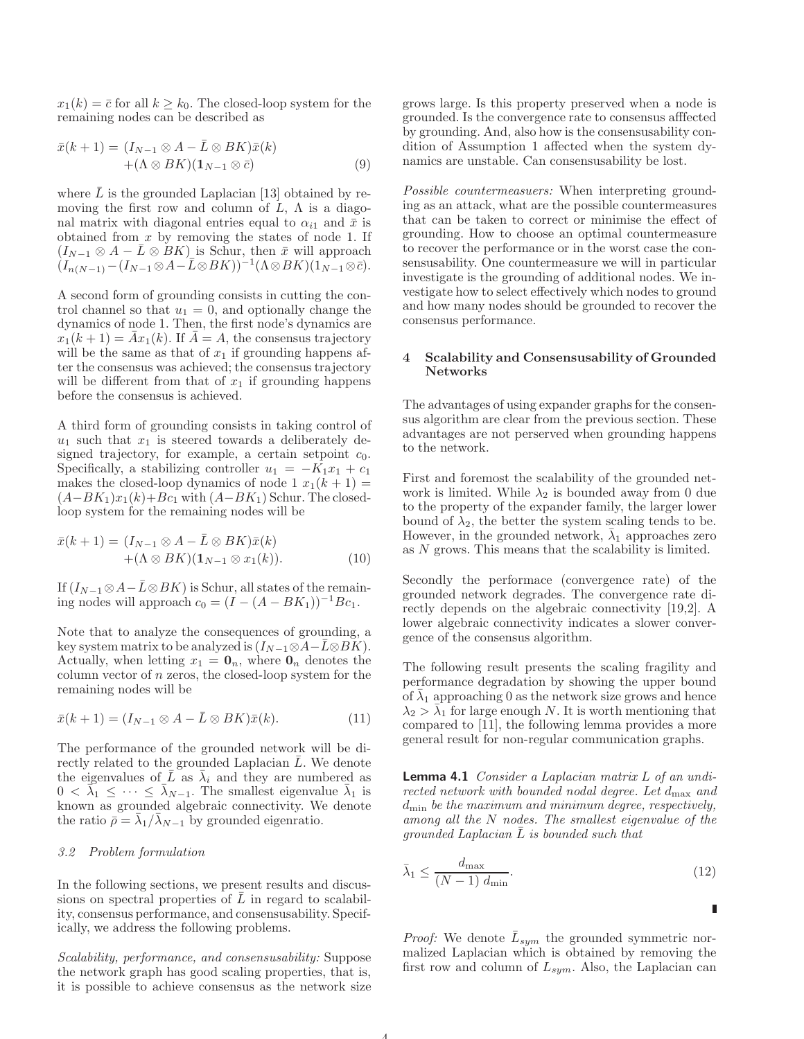$x_1(k) = \overline{c}$  for all  $k \geq k_0$ . The closed-loop system for the remaining nodes can be described as

$$
\bar{x}(k+1) = (I_{N-1} \otimes A - \bar{L} \otimes BK)\bar{x}(k) + (\Lambda \otimes BK)(\mathbf{1}_{N-1} \otimes \bar{c})
$$
(9)

where  $\bar{L}$  is the grounded Laplacian [13] obtained by removing the first row and column of  $\tilde{L}$ ,  $\Lambda$  is a diagonal matrix with diagonal entries equal to  $\alpha_{i1}$  and  $\bar{x}$  is obtained from  $x$  by removing the states of node 1. If  $(I_{N-1}\otimes A - \overline{L}\otimes BK)$  is Schur, then  $\overline{x}$  will approach  $(I_{n(N-1)}-(I_{N-1}\otimes A-\overline{L}\otimes BK))^{-1}(\Lambda\otimes BK)(\overline{1_{N-1}\otimes \overline{c}}).$ 

A second form of grounding consists in cutting the control channel so that  $u_1 = 0$ , and optionally change the dynamics of node 1. Then, the first node's dynamics are  $x_1(k+1) = \bar{A}x_1(k)$ . If  $\bar{A} = A$ , the consensus trajectory will be the same as that of  $x_1$  if grounding happens after the consensus was achieved; the consensus trajectory will be different from that of  $x_1$  if grounding happens before the consensus is achieved.

A third form of grounding consists in taking control of  $u_1$  such that  $x_1$  is steered towards a deliberately designed trajectory, for example, a certain setpoint  $c_0$ . Specifically, a stabilizing controller  $u_1 = -K_1x_1 + c_1$ makes the closed-loop dynamics of node 1  $x_1(k + 1)$  =  $(A-BK_1)x_1(k)+Bc_1$  with  $(A-BK_1)$  Schur. The closedloop system for the remaining nodes will be

$$
\bar{x}(k+1) = (I_{N-1} \otimes A - \bar{L} \otimes BK)\bar{x}(k) + (\Lambda \otimes BK)(\mathbf{1}_{N-1} \otimes x_1(k)).
$$
\n(10)

If  $(I_{N-1} \otimes A - \overline{L} \otimes BK)$  is Schur, all states of the remaining nodes will approach  $c_0 = (I - (A - BK_1))^{-1} B c_1$ .

Note that to analyze the consequences of grounding, a key system matrix to be analyzed is  $(I_{N-1} \otimes A-\overline{L} \otimes BK)$ . Actually, when letting  $x_1 = \mathbf{0}_n$ , where  $\mathbf{0}_n$  denotes the column vector of  $n$  zeros, the closed-loop system for the remaining nodes will be

$$
\bar{x}(k+1) = (I_{N-1} \otimes A - \bar{L} \otimes BK)\bar{x}(k). \tag{11}
$$

The performance of the grounded network will be directly related to the grounded Laplacian  $\overline{L}$ . We denote the eigenvalues of  $\overline{L}$  as  $\overline{\lambda}_i$  and they are numbered as  $0 < \tilde{\lambda}_1 \leq \cdots \leq \tilde{\lambda}_{N-1}$ . The smallest eigenvalue  $\bar{\lambda}_1$  is known as grounded algebraic connectivity. We denote the ratio  $\overrightarrow{\rho} = \overrightarrow{\lambda}_1 / \overrightarrow{\lambda}_{N-1}$  by grounded eigenratio.

## 3.2 Problem formulation

In the following sections, we present results and discussions on spectral properties of  $L$  in regard to scalability, consensus performance, and consensusability. Specifically, we address the following problems.

Scalability, performance, and consensusability: Suppose the network graph has good scaling properties, that is, it is possible to achieve consensus as the network size grows large. Is this property preserved when a node is grounded. Is the convergence rate to consensus afffected by grounding. And, also how is the consensusability condition of Assumption 1 affected when the system dynamics are unstable. Can consensusability be lost.

Possible countermeasuers: When interpreting grounding as an attack, what are the possible countermeasures that can be taken to correct or minimise the effect of grounding. How to choose an optimal countermeasure to recover the performance or in the worst case the consensusability. One countermeasure we will in particular investigate is the grounding of additional nodes. We investigate how to select effectively which nodes to ground and how many nodes should be grounded to recover the consensus performance.

## 4 Scalability and Consensusability of Grounded Networks

The advantages of using expander graphs for the consensus algorithm are clear from the previous section. These advantages are not perserved when grounding happens to the network.

First and foremost the scalability of the grounded network is limited. While  $\lambda_2$  is bounded away from 0 due to the property of the expander family, the larger lower bound of  $\lambda_2$ , the better the system scaling tends to be. However, in the grounded network,  $\bar{\lambda}_1$  approaches zero as N grows. This means that the scalability is limited.

Secondly the performace (convergence rate) of the grounded network degrades. The convergence rate directly depends on the algebraic connectivity [19,2]. A lower algebraic connectivity indicates a slower convergence of the consensus algorithm.

The following result presents the scaling fragility and performance degradation by showing the upper bound of  $\bar{\lambda}_1$  approaching 0 as the network size grows and hence  $\lambda_2 > \overline{\lambda}_1$  for large enough N. It is worth mentioning that compared to [11], the following lemma provides a more general result for non-regular communication graphs.

Lemma 4.1 Consider a Laplacian matrix L of an undirected network with bounded nodal degree. Let  $d_{\text{max}}$  and  $d_{\min}$  be the maximum and minimum degree, respectively, among all the N nodes. The smallest eigenvalue of the  $grounded Laplacian L$  is bounded such that

$$
\bar{\lambda}_1 \le \frac{d_{\max}}{(N-1) d_{\min}}.\tag{12}
$$

Ē

*Proof:* We denote  $\bar{L}_{sym}$  the grounded symmetric normalized Laplacian which is obtained by removing the first row and column of  $L_{sym}$ . Also, the Laplacian can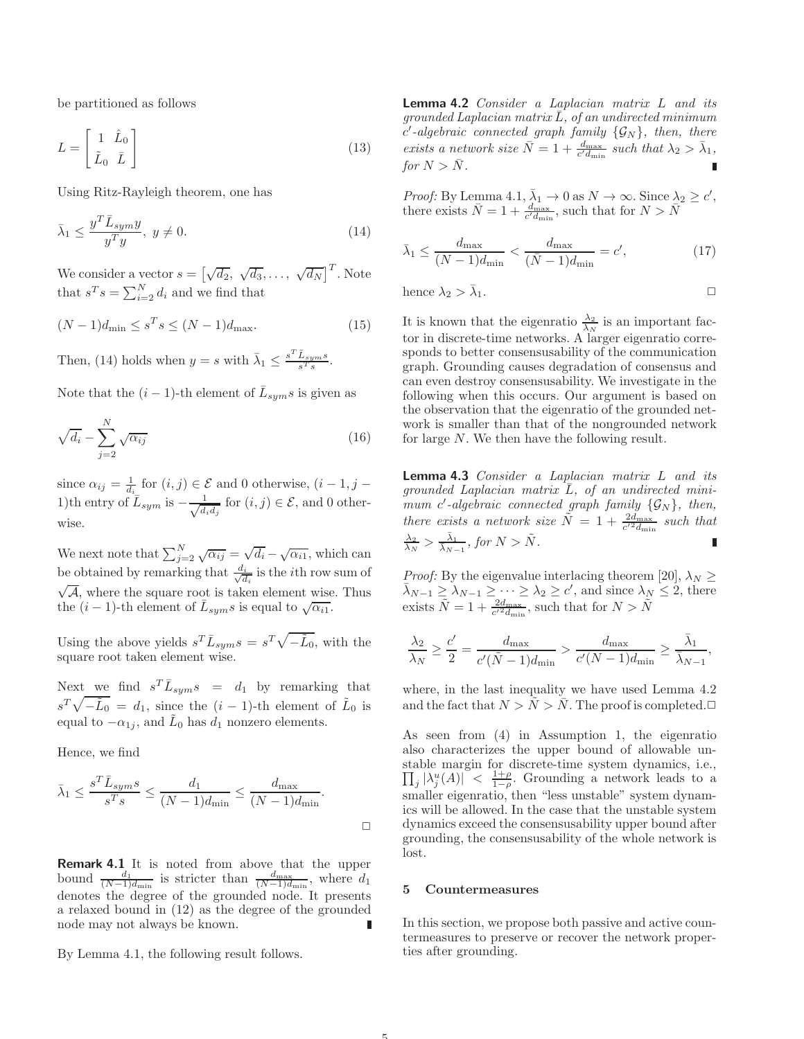be partitioned as follows

$$
L = \begin{bmatrix} 1 & \hat{L}_0 \\ \tilde{L}_0 & \bar{L} \end{bmatrix} \tag{13}
$$

Using Ritz-Rayleigh theorem, one has

$$
\bar{\lambda}_1 \le \frac{y^T \bar{L}_{sym} y}{y^T y}, \ y \ne 0.
$$
\n(14)

We consider a vector  $s = \left[\sqrt{d_2}, \sqrt{d_3}, \ldots, \sqrt{d_N}\right]^T$ . Note that  $s^T s = \sum_{i=2}^N d_i$  and we find that

$$
(N-1)d_{\min} \le s^T s \le (N-1)d_{\max}.
$$
 (15)

Then, (14) holds when  $y = s$  with  $\bar{\lambda}_1 \leq \frac{s^T \bar{L}_{sym} s}{s^T s}$  $\frac{L_{sym}s}{s^Ts}$ .

Note that the  $(i-1)$ -th element of  $\bar{L}_{sym} s$  is given as

$$
\sqrt{d_i} - \sum_{j=2}^{N} \sqrt{\alpha_{ij}} \tag{16}
$$

since  $\alpha_{ij} = \frac{1}{d_i}$  for  $(i, j) \in \mathcal{E}$  and 0 otherwise,  $(i - 1, j - 1)$ 1)th entry of  $\overline{L}_{sym}$  is  $-\frac{1}{\sqrt{d}}$  $\frac{1}{d_i d_j}$  for  $(i, j) \in \mathcal{E}$ , and 0 otherwise.

We next note that  $\sum_{j=2}^{N} \sqrt{\alpha_{ij}} = \sqrt{d_i} - \sqrt{\alpha_{i1}}$ , which can be obtained by remarking that  $\frac{d_i}{\sqrt{d_i}}$  $\frac{d_i}{d_i}$  is the *i*th row sum of  $\sqrt{\mathcal{A}}$ , where the square root is taken element wise. Thus the  $(i-1)$ -th element of  $\overline{L}_{sym} s$  is equal to  $\sqrt{\alpha_{i1}}$ .

Using the above yields  $s^T \bar{L}_{sym} s = s^T \sqrt{-\tilde{L}_0}$ , with the square root taken element wise.

Next we find  $s^T \bar{L}_{sym} s = d_1$  by remarking that  $s^T \sqrt{-\tilde{L}_0} = d_1$ , since the  $(i-1)$ -th element of  $\tilde{L}_0$  is equal to  $-\alpha_{1j}$ , and  $\tilde{L}_0$  has  $d_1$  nonzero elements.

Hence, we find

$$
\bar{\lambda}_1 \le \frac{s^T \bar{L}_{sym} s}{s^T s} \le \frac{d_1}{(N-1)d_{\min}} \le \frac{d_{\max}}{(N-1)d_{\min}}.
$$

**Remark 4.1** It is noted from above that the upper bound  $\frac{d_1}{(N-1)d_{\min}}$  is stricter than  $\frac{d_{\max}}{(N-1)d_{\min}}$ , where  $d_1$ denotes the degree of the grounded node. It presents a relaxed bound in (12) as the degree of the grounded node may not always be known.

By Lemma 4.1, the following result follows.

Lemma 4.2 Consider a Laplacian matrix L and its grounded Laplacian matrix  $\bar{L}$ , of an undirected minimum  $c'$ -algebraic connected graph family  $\{\mathcal{G}_{N}\},$  then, there exists a network size  $\bar{N} = 1 + \frac{d_{\text{max}}}{c' d_{\text{min}}}$  such that  $\lambda_2 > \bar{\lambda}_1$ , for  $N > \bar{N}$ .

Proof: By Lemma 4.1,  $\bar{\lambda}_1 \to 0$  as  $N \to \infty$ . Since  $\lambda_2 \geq c'$ , there exists  $\bar{N} = 1 + \frac{d_{\text{max}}}{c' d_{\text{min}}}$ , such that for  $N > \bar{N}$ 

$$
\bar{\lambda}_1 \le \frac{d_{\max}}{(N-1)d_{\min}} < \frac{d_{\max}}{(\bar{N}-1)d_{\min}} = c',\tag{17}
$$

hence 
$$
\lambda_2 > \bar{\lambda}_1
$$
.

It is known that the eigenratio  $\frac{\lambda_2}{\lambda_N}$  is an important factor in discrete-time networks. A larger eigenratio corresponds to better consensusability of the communication graph. Grounding causes degradation of consensus and can even destroy consensusability. We investigate in the following when this occurs. Our argument is based on the observation that the eigenratio of the grounded network is smaller than that of the nongrounded network for large N. We then have the following result.

Lemma 4.3 Consider a Laplacian matrix L and its grounded Laplacian matrix  $\overline{L}$ , of an undirected minimum c'-algebraic connected graph family  $\{\mathcal{G}_N\}$ , then, there exists a network size  $\tilde{N} = 1 + \frac{2d_{\text{max}}}{c'^2 d_{\text{min}}}$  such that  $\frac{\lambda_2}{\lambda_N} > \frac{\bar{\lambda}_1}{\bar{\lambda}_{N-1}}$  $\frac{\bar{\lambda}_1}{\bar{\lambda}_{N-1}},$  for  $N > \tilde{N}$ .

*Proof:* By the eigenvalue interlacing theorem [20],  $\lambda_N \geq$  $\bar{\lambda}_{N-1} \geq \lambda_{N-1} \geq \cdots \geq \lambda_2 \geq c'$ , and since  $\lambda_N \leq 2$ , there exists  $\tilde{N} = 1 + \frac{2d_{\text{max}}}{c'^2 d_{\text{min}}}$ , such that for  $N > \tilde{N}$ 

$$
\frac{\lambda_2}{\lambda_N} \ge \frac{c'}{2} = \frac{d_{\max}}{c'(\tilde{N}-1)d_{\min}} > \frac{d_{\max}}{c'(N-1)d_{\min}} \ge \frac{\bar{\lambda}_1}{\bar{\lambda}_{N-1}},
$$

where, in the last inequality we have used Lemma 4.2 and the fact that  $N > \tilde{N} > \bar{N}$ . The proof is completed.  $\Box$ 

As seen from (4) in Assumption 1, the eigenratio also characterizes the upper bound of allowable unstable margin for discrete-time system dynamics, i.e.,  $\prod_j |\lambda_j^u(A)| \leq \frac{1+\rho}{1-\rho}$ . Grounding a network leads to a smaller eigenratio, then "less unstable" system dynamics will be allowed. In the case that the unstable system dynamics exceed the consensusability upper bound after grounding, the consensusability of the whole network is lost.

## 5 Countermeasures

In this section, we propose both passive and active countermeasures to preserve or recover the network properties after grounding.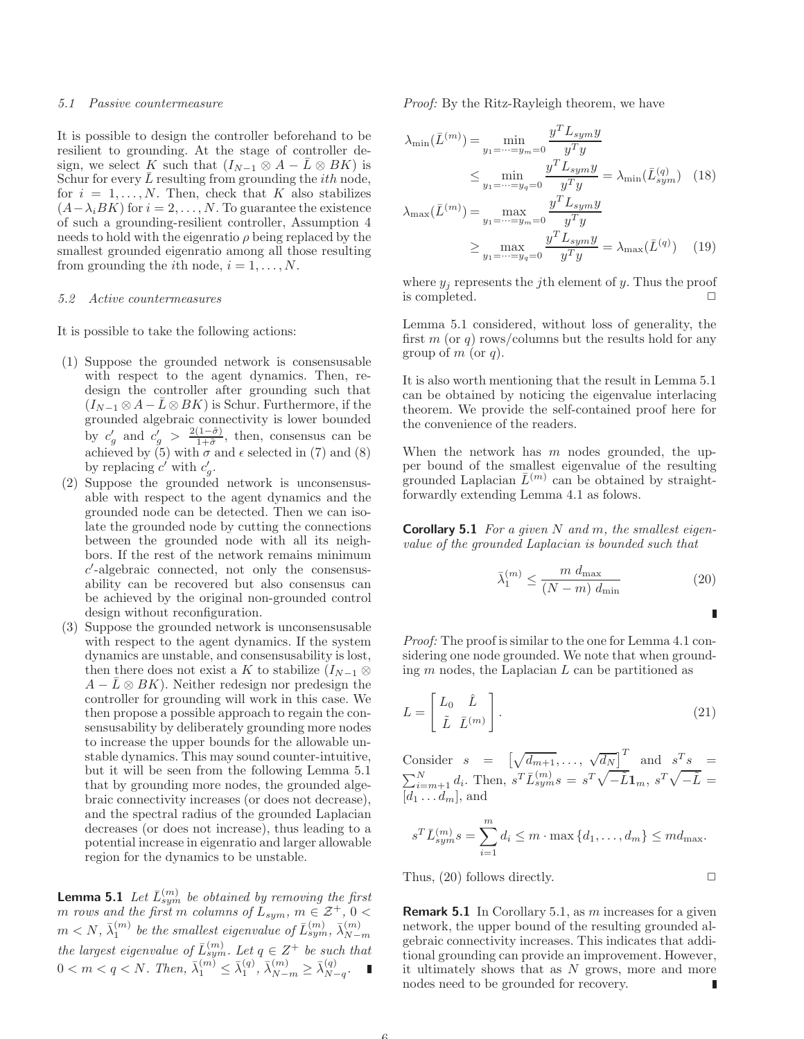#### 5.1 Passive countermeasure

It is possible to design the controller beforehand to be resilient to grounding. At the stage of controller design, we select K such that  $(I_{N-1} \otimes A - \overline{L} \otimes BK)$  is Schur for every  $L$  resulting from grounding the *ith* node, for  $i = 1, \ldots, N$ . Then, check that K also stabilizes  $(A-\lambda_i BK)$  for  $i=2,\ldots,N$ . To guarantee the existence of such a grounding-resilient controller, Assumption 4 needs to hold with the eigenratio  $\rho$  being replaced by the smallest grounded eigenratio among all those resulting from grounding the *i*th node,  $i = 1, \ldots, N$ .

## 5.2 Active countermeasures

It is possible to take the following actions:

- (1) Suppose the grounded network is consensusable with respect to the agent dynamics. Then, redesign the controller after grounding such that  $(I_{N-1} \otimes A - \bar{L} \otimes BK)$  is Schur. Furthermore, if the grounded algebraic connectivity is lower bounded by  $c'_g$  and  $c'_g > \frac{2(1-\tilde{\sigma})}{1+\tilde{\sigma}},$  then, consensus can be achieved by (5) with  $\sigma$  and  $\epsilon$  selected in (7) and (8) by replacing  $c'$  with  $c'_g$ .
- (2) Suppose the grounded network is unconsensusable with respect to the agent dynamics and the grounded node can be detected. Then we can isolate the grounded node by cutting the connections between the grounded node with all its neighbors. If the rest of the network remains minimum c ′ -algebraic connected, not only the consensusability can be recovered but also consensus can be achieved by the original non-grounded control design without reconfiguration.
- (3) Suppose the grounded network is unconsensusable with respect to the agent dynamics. If the system dynamics are unstable, and consensusability is lost, then there does not exist a K to stabilize  $(I_{N-1} \otimes$  $A - \bar{L} \otimes BK$ ). Neither redesign nor predesign the controller for grounding will work in this case. We then propose a possible approach to regain the consensusability by deliberately grounding more nodes to increase the upper bounds for the allowable unstable dynamics. This may sound counter-intuitive, but it will be seen from the following Lemma 5.1 that by grounding more nodes, the grounded algebraic connectivity increases (or does not decrease), and the spectral radius of the grounded Laplacian decreases (or does not increase), thus leading to a potential increase in eigenratio and larger allowable region for the dynamics to be unstable.

**Lemma 5.1** Let  $\bar{L}_{sym}^{(m)}$  be obtained by removing the first m rows and the first m columns of  $L_{sym}$ ,  $m \in \mathcal{Z}^+, 0$  $m < N, \, \bar{\lambda}_1^{(m)}$  be the smallest eigenvalue of  $\bar{L}^{(m)}_{sym}, \, \bar{\lambda}_{N-1}^{(m)}$  $m \le N$ ,  $\lambda_1$  be the smallest eigenvalue of  $L_{sym}$ .<br>the largest eigenvalue of  $\bar{L}_{sym}^{(m)}$ . Let  $q \in Z^+$  be such that  $0 < m < q < N$ . Then,  $\bar{\lambda}_1^{(m)} \leq \bar{\lambda}_1^{(q)}$ ,  $\bar{\lambda}_{N-m}^{(m)} \geq \bar{\lambda}_{N-m}^{(q)}$  $\overset{(q)}{N-q}$ .

Proof: By the Ritz-Rayleigh theorem, we have

$$
\lambda_{\min}(\bar{L}^{(m)}) = \min_{y_1 = \dots = y_m = 0} \frac{y^T L_{sym} y}{y^T y}
$$

$$
\leq \min_{y_1 = \dots = y_q = 0} \frac{y^T L_{sym} y}{y^T y} = \lambda_{\min}(\bar{L}_{sym}^{(q)}) \quad (18)
$$

$$
\lambda_{\max}(\bar{L}^{(m)}) = \max_{y_1 = \dots = y_m = 0} \frac{y^T L_{sym} y}{y^T y}
$$

$$
\geq \max_{y_1 = \dots = y_q = 0} \frac{y^T L_{sym} y}{y^T y} = \lambda_{\max}(\bar{L}^{(q)}) \quad (19)
$$

where  $y_i$  represents the j<sup>th</sup> element of y. Thus the proof is completed.  $\Box$ 

Lemma 5.1 considered, without loss of generality, the first  $m$  (or  $q$ ) rows/columns but the results hold for any group of  $m$  (or  $q$ ).

It is also worth mentioning that the result in Lemma 5.1 can be obtained by noticing the eigenvalue interlacing theorem. We provide the self-contained proof here for the convenience of the readers.

When the network has  $m$  nodes grounded, the upper bound of the smallest eigenvalue of the resulting grounded Laplacian  $\bar{L}^{(m)}$  can be obtained by straightforwardly extending Lemma 4.1 as folows.

**Corollary 5.1** For a given N and m, the smallest eigenvalue of the grounded Laplacian is bounded such that

$$
\bar{\lambda}_1^{(m)} \le \frac{m \ d_{\text{max}}}{(N-m) \ d_{\text{min}}} \tag{20}
$$

Ē

Proof: The proof is similar to the one for Lemma 4.1 considering one node grounded. We note that when grounding  $m$  nodes, the Laplacian  $L$  can be partitioned as

$$
L = \begin{bmatrix} L_0 & \hat{L} \\ \tilde{L} & \bar{L}^{(m)} \end{bmatrix} .
$$
 (21)

Consider  $s = \left[\sqrt{d_{m+1}}, \ldots, \sqrt{d_N}\right]^T$  and  $s^T s =$  $\sum_{i=m+1}^{N} d_i$ . Then,  $s^T \overline{L}_{sym}^{(m)} s = s^T \sqrt{-\tilde{L}} \mathbf{1}_m$ ,  $s^T \sqrt{-\tilde{L}} =$  $[d_1 \ldots d_m]$ , and

$$
s^T \bar{L}_{sym}^{(m)} s = \sum_{i=1}^m d_i \le m \cdot \max\{d_1, \dots, d_m\} \le md_{\text{max}}.
$$

Thus,  $(20)$  follows directly.  $\Box$ 

**Remark 5.1** In Corollary 5.1, as m increases for a given network, the upper bound of the resulting grounded algebraic connectivity increases. This indicates that additional grounding can provide an improvement. However, it ultimately shows that as  $N$  grows, more and more nodes need to be grounded for recovery. П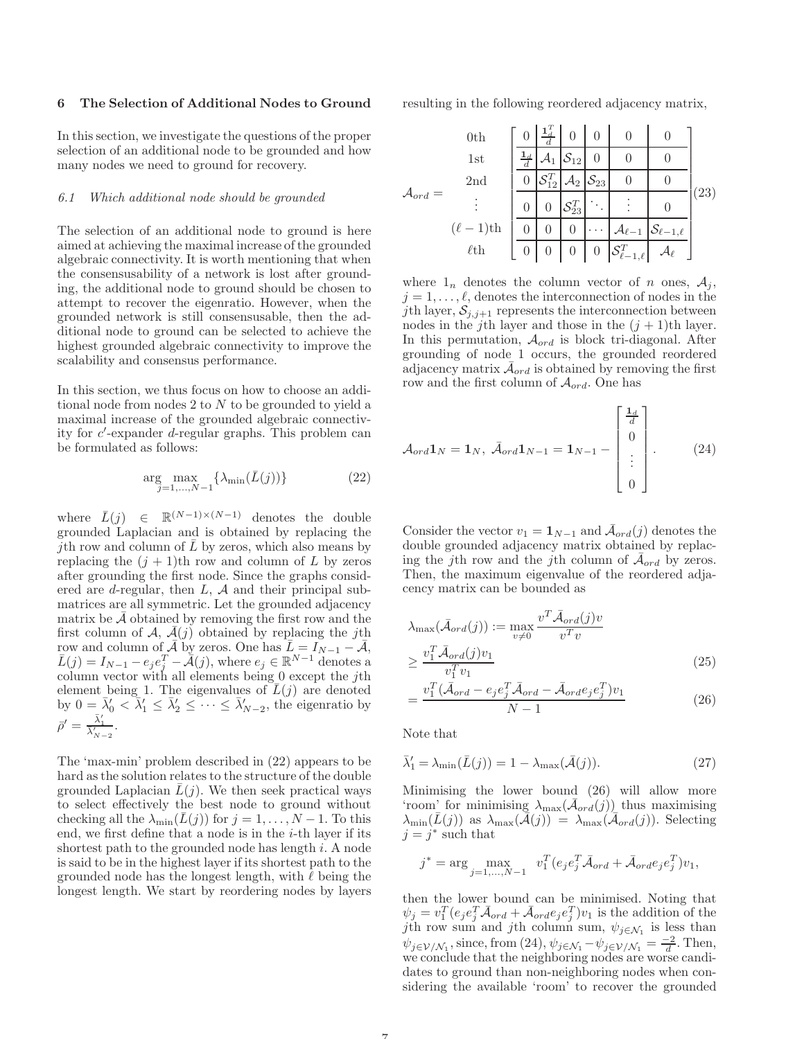#### 6 The Selection of Additional Nodes to Ground

In this section, we investigate the questions of the proper selection of an additional node to be grounded and how many nodes we need to ground for recovery.

#### 6.1 Which additional node should be grounded

The selection of an additional node to ground is here aimed at achieving the maximal increase of the grounded algebraic connectivity. It is worth mentioning that when the consensusability of a network is lost after grounding, the additional node to ground should be chosen to attempt to recover the eigenratio. However, when the grounded network is still consensusable, then the additional node to ground can be selected to achieve the highest grounded algebraic connectivity to improve the scalability and consensus performance.

In this section, we thus focus on how to choose an additional node from nodes 2 to N to be grounded to yield a maximal increase of the grounded algebraic connectivity for c ′ -expander d-regular graphs. This problem can be formulated as follows:

$$
\underset{j=1,\ldots,N-1}{\arg\max} \{ \lambda_{\min}(\bar{L}(j)) \} \tag{22}
$$

where  $\bar{L}(j) \in \mathbb{R}^{(N-1)\times(N-1)}$  denotes the double grounded Laplacian and is obtained by replacing the *j*th row and column of  $\overline{L}$  by zeros, which also means by replacing the  $(j + 1)$ th row and column of L by zeros after grounding the first node. Since the graphs considered are *d*-regular, then  $L$ ,  $A$  and their principal submatrices are all symmetric. Let the grounded adjacency matrix be  $\mathcal A$  obtained by removing the first row and the first column of A,  $\overline{A}(j)$  obtained by replacing the jth row and column of  $\bar{\mathcal{A}}$  by zeros. One has  $\bar{L} = I_{N-1} - \bar{\mathcal{A}}$ ,  $\overline{L}(j) = I_{N-1} - e_j e_j^T - \overline{A}(j)$ , where  $e_j \in \mathbb{R}^{N-1}$  denotes a column vector with all elements being  $0$  except the jth element being 1. The eigenvalues of  $\overline{L}(j)$  are denoted by  $0 = \bar{\lambda}'_0 < \bar{\lambda}'_1 \leq \bar{\lambda}'_2 \leq \cdots \leq \bar{\lambda}'_{N-2}$ , the eigenratio by  $\bar{\rho}' = \frac{\bar{\lambda}'_1}{\bar{\lambda}'_{N-2}}.$ 

The 'max-min' problem described in (22) appears to be hard as the solution relates to the structure of the double grounded Laplacian  $\bar{L}(j)$ . We then seek practical ways to select effectively the best node to ground without checking all the  $\lambda_{\min}(L(j))$  for  $j = 1, \ldots, N - 1$ . To this end, we first define that a node is in the  $i$ -th layer if its shortest path to the grounded node has length  $i$ . A node is said to be in the highest layer if its shortest path to the grounded node has the longest length, with  $\ell$  being the longest length. We start by reordering nodes by layers resulting in the following reordered adjacency matrix,

$$
\mathcal{A}_{ord} = \begin{bmatrix}\n0 & \frac{1}{d} & 0 & 0 & 0 & 0 \\
1 & \frac{1}{d} & \mathcal{A}_1 & \mathcal{S}_{12} & 0 & 0 & 0 \\
\frac{1}{d} & \mathcal{A}_1 & \mathcal{S}_{12} & 0 & 0 & 0 \\
\frac{1}{d} & \mathcal{S}_{12} & \mathcal{A}_2 & \mathcal{S}_{23} & 0 & 0 \\
\vdots & \vdots & \vdots & \ddots & \vdots & \vdots \\
0 & 0 & \mathcal{S}_{23}^T & \ddots & \vdots & 0 \\
\hline\n0 & 0 & 0 & \cdots & \mathcal{A}_{\ell-1} & \mathcal{S}_{\ell-1,\ell} \\
\ell \text{th} & 0 & 0 & 0 & \mathcal{S}_{\ell-1,\ell}^T & \mathcal{A}_{\ell}\n\end{bmatrix} (23)
$$

where  $1_n$  denotes the column vector of n ones,  $A_i$ ,  $j = 1, \ldots, \ell$ , denotes the interconnection of nodes in the jth layer,  $S_{j,j+1}$  represents the interconnection between nodes in the j<sup>th</sup> layer and those in the  $(j + 1)$ <sup>th</sup> layer. In this permutation,  $\mathcal{A}_{ord}$  is block tri-diagonal. After grounding of node 1 occurs, the grounded reordered adjacency matrix  $\bar{\mathcal{A}}_{ord}$  is obtained by removing the first row and the first column of  $A_{ord}$ . One has

$$
\mathcal{A}_{ord} \mathbf{1}_N = \mathbf{1}_N, \ \bar{\mathcal{A}}_{ord} \mathbf{1}_{N-1} = \mathbf{1}_{N-1} - \begin{bmatrix} \frac{\mathbf{1}_d}{d} \\ 0 \\ \vdots \\ 0 \end{bmatrix} . \tag{24}
$$

Consider the vector  $v_1 = \mathbf{1}_{N-1}$  and  $\bar{\mathcal{A}}_{ord}(j)$  denotes the double grounded adjacency matrix obtained by replacing the j<sup>th</sup> row and the j<sup>th</sup> column of  $\bar{\mathcal{A}}_{ord}$  by zeros. Then, the maximum eigenvalue of the reordered adjacency matrix can be bounded as

$$
\lambda_{\max}(\bar{\mathcal{A}}_{ord}(j)) := \max_{v \neq 0} \frac{v^T \bar{\mathcal{A}}_{ord}(j)v}{v^T v}
$$
  
\n
$$
\geq \frac{v_1^T \bar{\mathcal{A}}_{ord}(j)v_1}{v_1^T v_1}
$$
  
\n
$$
= \frac{v_1^T (\bar{\mathcal{A}}_{ord} - e_j e_j^T \bar{\mathcal{A}}_{ord} - \bar{\mathcal{A}}_{ord} e_j e_j^T)v_1}{N - 1}
$$
\n(26)

Note that

$$
\bar{\lambda}'_1 = \lambda_{\min}(\bar{L}(j)) = 1 - \lambda_{\max}(\bar{\mathcal{A}}(j)).
$$
\n(27)

Minimising the lower bound (26) will allow more 'room' for minimising  $\lambda_{\text{max}}(\bar{\mathcal{A}}_{\text{ord}}(j))$  thus maximising  $\lambda_{\min}(\bar{L}(j))$  as  $\lambda_{\max}(\bar{A}(j)) = \lambda_{\max}(\bar{\mathcal{A}}_{ord}(j)).$  Selecting  $j = j^*$  such that

$$
j^*=\arg\max_{j=1,...,N-1}\ \ v_1^T\big(e_je_j^T\bar{\mathcal{A}}_{ord}+\bar{\mathcal{A}}_{ord}e_je_j^T\big)v_1,
$$

then the lower bound can be minimised. Noting that  $\psi_j = v_1^T (e_j e_j^T \bar{\mathcal{A}}_{ord} + \bar{\mathcal{A}}_{ord} e_j e_j^T) v_1$  is the addition of the jth row sum and jth column sum,  $\psi_{j \in \mathcal{N}_1}$  is less than  $\psi_{j\in\mathcal{V}/\mathcal{N}_1}$ , since, from (24),  $\psi_{j\in\mathcal{N}_1} - \psi_{j\in\mathcal{V}/\mathcal{N}_1} = \frac{-2}{d}$ . Then, we conclude that the neighboring nodes are worse candidates to ground than non-neighboring nodes when considering the available 'room' to recover the grounded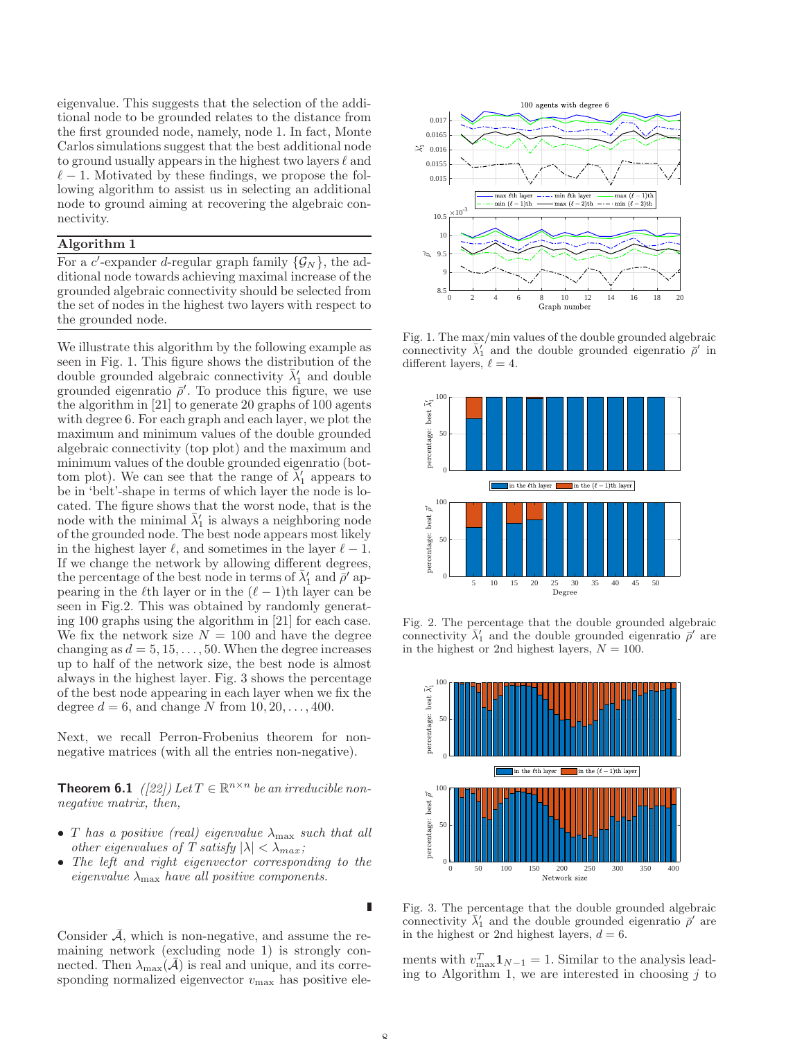eigenvalue. This suggests that the selection of the additional node to be grounded relates to the distance from the first grounded node, namely, node 1. In fact, Monte Carlos simulations suggest that the best additional node to ground usually appears in the highest two layers  $\ell$  and  $\ell-1$ . Motivated by these findings, we propose the following algorithm to assist us in selecting an additional node to ground aiming at recovering the algebraic connectivity.

## Algorithm 1

For a c'-expander d-regular graph family  $\{\mathcal{G}_N\}$ , the additional node towards achieving maximal increase of the grounded algebraic connectivity should be selected from the set of nodes in the highest two layers with respect to the grounded node.

We illustrate this algorithm by the following example as seen in Fig. 1. This figure shows the distribution of the double grounded algebraic connectivity  $\bar{\lambda}'_1$  and double grounded eigenratio  $\bar{\rho}'$ . To produce this figure, we use the algorithm in [21] to generate 20 graphs of 100 agents with degree 6. For each graph and each layer, we plot the maximum and minimum values of the double grounded algebraic connectivity (top plot) and the maximum and minimum values of the double grounded eigenratio (bottom plot). We can see that the range of  $\bar{\lambda}'_1$  appears to be in 'belt'-shape in terms of which layer the node is located. The figure shows that the worst node, that is the node with the minimal  $\bar{\lambda}'_1$  is always a neighboring node of the grounded node. The best node appears most likely in the highest layer  $\ell$ , and sometimes in the layer  $\ell - 1$ . If we change the network by allowing different degrees, the percentage of the best node in terms of  $\bar{\lambda}'_1$  and  $\bar{\rho}'$  appearing in the  $\ell$ th layer or in the  $(\ell - 1)$ th layer can be seen in Fig.2. This was obtained by randomly generating 100 graphs using the algorithm in [21] for each case. We fix the network size  $N = 100$  and have the degree changing as  $d = 5, 15, \ldots, 50$ . When the degree increases up to half of the network size, the best node is almost always in the highest layer. Fig. 3 shows the percentage of the best node appearing in each layer when we fix the degree  $d = 6$ , and change N from  $10, 20, \ldots, 400$ .

Next, we recall Perron-Frobenius theorem for nonnegative matrices (with all the entries non-negative).

**Theorem 6.1** ([22]) Let  $T \in \mathbb{R}^{n \times n}$  be an irreducible nonnegative matrix, then,

- T has a positive (real) eigenvalue  $\lambda_{\text{max}}$  such that all other eigenvalues of T satisfy  $|\lambda| < \lambda_{max}$ ;
- The left and right eigenvector corresponding to the eigenvalue  $\lambda_{\text{max}}$  have all positive components.

Consider  $\overline{\mathcal{A}}$ , which is non-negative, and assume the remaining network (excluding node 1) is strongly connected. Then  $\lambda_{\text{max}}(\bar{\mathcal{A}})$  is real and unique, and its corresponding normalized eigenvector  $v_{\text{max}}$  has positive ele-



Fig. 1. The max/min values of the double grounded algebraic connectivity  $\bar{\lambda}'_1$  and the double grounded eigenratio  $\bar{\rho}'$  in different layers,  $\ell = 4$ .



Fig. 2. The percentage that the double grounded algebraic connectivity  $\bar{\lambda}'_1$  and the double grounded eigenratio  $\bar{\rho}'$  are in the highest or 2nd highest layers,  $N = 100$ .



Fig. 3. The percentage that the double grounded algebraic connectivity  $\bar{\lambda}'_1$  and the double grounded eigenratio  $\bar{\rho}'$  are in the highest or 2nd highest layers,  $d = 6$ .

ments with  $v_{\text{max}}^T \mathbf{1}_{N-1} = 1$ . Similar to the analysis leading to Algorithm 1, we are interested in choosing  $j$  to

 $\blacksquare$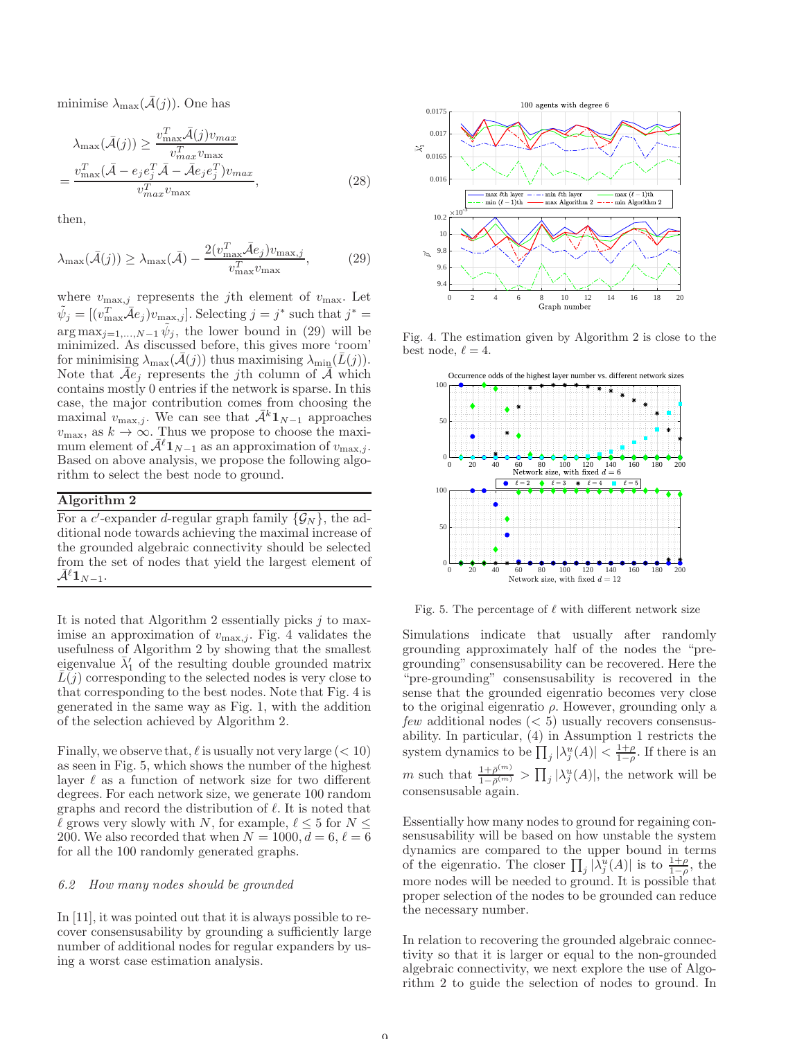minimise  $\lambda_{\text{max}}(\mathcal{A}(j))$ . One has

$$
\lambda_{\max}(\bar{\mathcal{A}}(j)) \ge \frac{v_{\max}^T \bar{\mathcal{A}}(j)v_{\max}}{v_{\max}^T v_{\max}^T}
$$

$$
= \frac{v_{\max}^T (\bar{\mathcal{A}} - e_j e_j^T \bar{\mathcal{A}} - \bar{\mathcal{A}} e_j e_j^T) v_{\max}}{v_{\max}^T v_{\max}},
$$
(28)

then,

$$
\lambda_{\max}(\bar{\mathcal{A}}(j)) \ge \lambda_{\max}(\bar{\mathcal{A}}) - \frac{2(v_{\max}^T \bar{\mathcal{A}} e_j) v_{\max,j}}{v_{\max}^T v_{\max}},
$$
(29)

where  $v_{\text{max},j}$  represents the *j*th element of  $v_{\text{max}}$ . Let  $\tilde{\psi}_j = [(v_{\text{max}}^T \bar{\mathcal{A}} e_j) v_{\text{max},j}]$ . Selecting  $j = j^*$  such that  $j^* =$  $\arg \max_{j=1,\dots,N-1} \tilde{\psi}_j$ , the lower bound in (29) will be minimized. As discussed before, this gives more 'room' for minimising  $\lambda_{\max}(\mathcal{A}(j))$  thus maximising  $\lambda_{\min}(L(j)).$ Note that  $\bar{A}e_j$  represents the j<sup>th</sup> column of  $\bar{A}$  which contains mostly 0 entries if the network is sparse. In this case, the major contribution comes from choosing the maximal  $v_{\text{max},j}$ . We can see that  $\bar{\mathcal{A}}^k \mathbf{1}_{N-1}$  approaches  $v_{\text{max}}$ , as  $k \to \infty$ . Thus we propose to choose the maximum element of  $\bar{A}^{\ell} \mathbf{1}_{N-1}$  as an approximation of  $v_{\text{max},j}$ . Based on above analysis, we propose the following algorithm to select the best node to ground.

# Algorithm 2

For a c'-expander d-regular graph family  $\{\mathcal{G}_N\}$ , the additional node towards achieving the maximal increase of the grounded algebraic connectivity should be selected from the set of nodes that yield the largest element of  $\mathcal{A}^{\ell} \mathbf{1}_{N-1}.$ 

It is noted that Algorithm 2 essentially picks  $j$  to maximise an approximation of  $v_{\text{max},j}$ . Fig. 4 validates the usefulness of Algorithm 2 by showing that the smallest eigenvalue  $\bar{\lambda}'_1$  of the resulting double grounded matrix  $L(j)$  corresponding to the selected nodes is very close to that corresponding to the best nodes. Note that Fig. 4 is generated in the same way as Fig. 1, with the addition of the selection achieved by Algorithm 2.

Finally, we observe that,  $\ell$  is usually not very large  $(< 10)$ as seen in Fig. 5, which shows the number of the highest layer  $\ell$  as a function of network size for two different degrees. For each network size, we generate 100 random graphs and record the distribution of  $\ell$ . It is noted that  $\ell$  grows very slowly with N, for example,  $\ell \leq 5$  for  $N \leq$ 200. We also recorded that when  $N = 1000, d = 6, \ell = 6$ for all the 100 randomly generated graphs.

#### 6.2 How many nodes should be grounded

In [11], it was pointed out that it is always possible to recover consensusability by grounding a sufficiently large number of additional nodes for regular expanders by using a worst case estimation analysis.



Fig. 4. The estimation given by Algorithm 2 is close to the best node,  $\ell = 4$ .



Fig. 5. The percentage of  $\ell$  with different network size

Simulations indicate that usually after randomly grounding approximately half of the nodes the "pregrounding" consensusability can be recovered. Here the "pre-grounding" consensusability is recovered in the sense that the grounded eigenratio becomes very close to the original eigenratio  $\rho$ . However, grounding only a  $few$  additional nodes  $(< 5)$  usually recovers consensusability. In particular, (4) in Assumption 1 restricts the system dynamics to be  $\prod_j |\lambda_j^u(A)| < \frac{1+\rho}{1-\rho}$ . If there is an m such that  $\frac{1+\bar{\rho}^{(m)}}{1-\bar{\rho}^{(m)}}$  $\frac{1+\bar{\rho}^{(m)}}{1-\bar{\rho}^{(m)}} > \prod_j |\lambda_j^u(A)|$ , the network will be consensusable again.

Essentially how many nodes to ground for regaining consensusability will be based on how unstable the system dynamics are compared to the upper bound in terms of the eigenratio. The closer  $\prod_j |\lambda_j^u(A)|$  is to  $\frac{1+\rho}{1-\rho}$ , the more nodes will be needed to ground. It is possible that proper selection of the nodes to be grounded can reduce the necessary number.

In relation to recovering the grounded algebraic connectivity so that it is larger or equal to the non-grounded algebraic connectivity, we next explore the use of Algorithm 2 to guide the selection of nodes to ground. In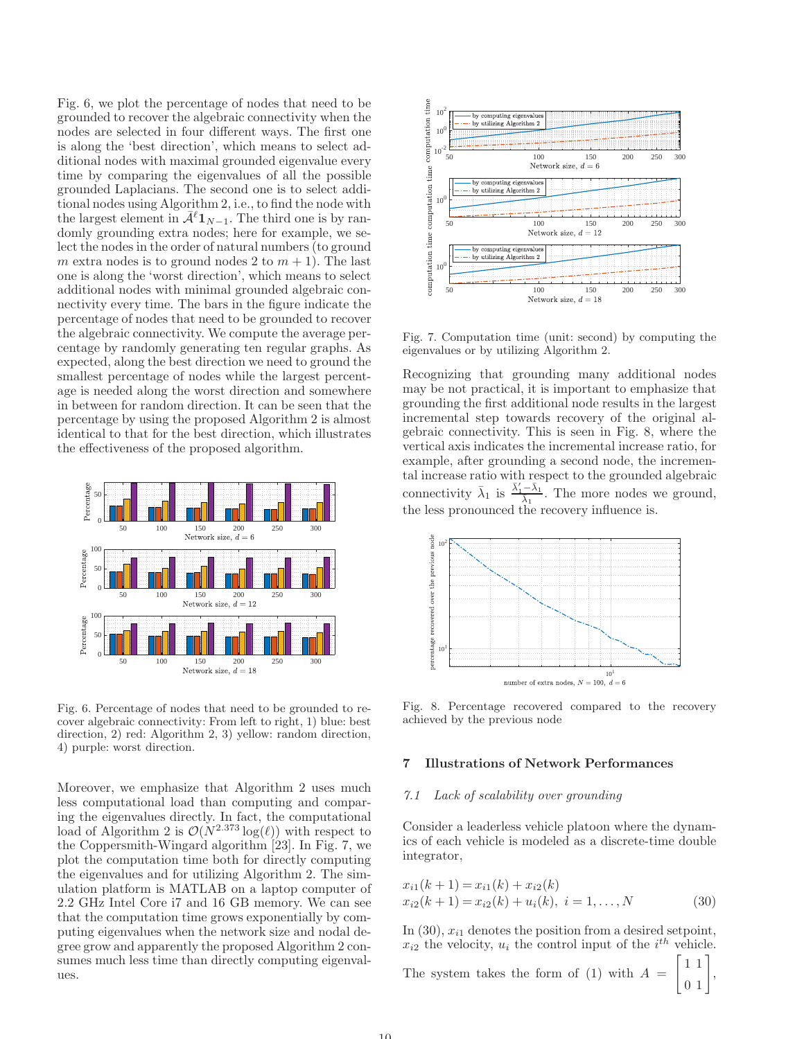Fig. 6, we plot the percentage of nodes that need to be grounded to recover the algebraic connectivity when the nodes are selected in four different ways. The first one is along the 'best direction', which means to select additional nodes with maximal grounded eigenvalue every time by comparing the eigenvalues of all the possible grounded Laplacians. The second one is to select additional nodes using Algorithm 2, i.e., to find the node with the largest element in  $\bar{\mathcal{A}}^{\ell} \mathbf{1}_{N-1}$ . The third one is by randomly grounding extra nodes; here for example, we select the nodes in the order of natural numbers (to ground m extra nodes is to ground nodes 2 to  $m + 1$ ). The last one is along the 'worst direction', which means to select additional nodes with minimal grounded algebraic connectivity every time. The bars in the figure indicate the percentage of nodes that need to be grounded to recover the algebraic connectivity. We compute the average percentage by randomly generating ten regular graphs. As expected, along the best direction we need to ground the smallest percentage of nodes while the largest percentage is needed along the worst direction and somewhere in between for random direction. It can be seen that the percentage by using the proposed Algorithm 2 is almost identical to that for the best direction, which illustrates the effectiveness of the proposed algorithm.



Fig. 6. Percentage of nodes that need to be grounded to recover algebraic connectivity: From left to right, 1) blue: best direction, 2) red: Algorithm 2, 3) yellow: random direction, 4) purple: worst direction.

Moreover, we emphasize that Algorithm 2 uses much less computational load than computing and comparing the eigenvalues directly. In fact, the computational load of Algorithm 2 is  $\mathcal{O}(N^{2.373} \log(\ell))$  with respect to the Coppersmith-Wingard algorithm [23]. In Fig. 7, we plot the computation time both for directly computing the eigenvalues and for utilizing Algorithm 2. The simulation platform is MATLAB on a laptop computer of 2.2 GHz Intel Core i7 and 16 GB memory. We can see that the computation time grows exponentially by computing eigenvalues when the network size and nodal degree grow and apparently the proposed Algorithm 2 consumes much less time than directly computing eigenvalues.



Fig. 7. Computation time (unit: second) by computing the eigenvalues or by utilizing Algorithm 2.

Recognizing that grounding many additional nodes may be not practical, it is important to emphasize that grounding the first additional node results in the largest incremental step towards recovery of the original algebraic connectivity. This is seen in Fig. 8, where the vertical axis indicates the incremental increase ratio, for example, after grounding a second node, the incremental increase ratio with respect to the grounded algebraic connectivity  $\bar{\lambda}_1$  is  $\frac{\bar{\lambda}'_1 - \bar{\lambda}_1}{\bar{\lambda}_1}$ . The more nodes we ground, the less pronounced the recovery influence is.



Fig. 8. Percentage recovered compared to the recovery achieved by the previous node

### 7 Illustrations of Network Performances

#### 7.1 Lack of scalability over grounding

Consider a leaderless vehicle platoon where the dynamics of each vehicle is modeled as a discrete-time double integrator,

$$
x_{i1}(k+1) = x_{i1}(k) + x_{i2}(k)
$$
  
\n
$$
x_{i2}(k+1) = x_{i2}(k) + u_i(k), \quad i = 1, ..., N
$$
 (30)

In  $(30)$ ,  $x_{i1}$  denotes the position from a desired setpoint,  $x_{i2}$  the velocity,  $u_i$  the control input of the  $i^{th}$  vehicle.

The system takes the form of  $(1)$  with  $A =$  $\sqrt{ }$ 1 1  $\begin{bmatrix} 1 & 1 \\ 0 & 1 \end{bmatrix}$ ,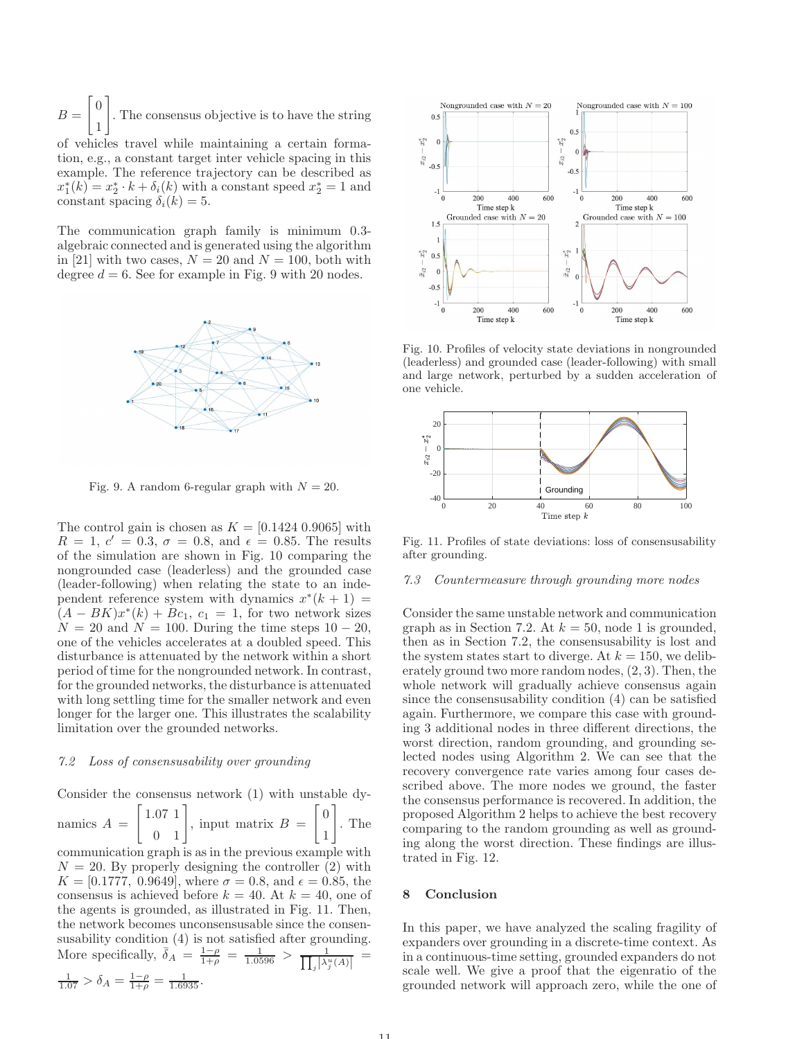$B =$  $\sqrt{ }$  $\overline{0}$ 1 1 . The consensus objective is to have the string

of vehicles travel while maintaining a certain formation, e.g., a constant target inter vehicle spacing in this example. The reference trajectory can be described as  $x_1^*(k) = x_2^* \cdot k + \delta_i(k)$  with a constant speed  $x_2^* = 1$  and constant spacing  $\delta_i(k) = 5$ .

The communication graph family is minimum 0.3 algebraic connected and is generated using the algorithm in [21] with two cases,  $N = 20$  and  $N = 100$ , both with degree  $d = 6$ . See for example in Fig. 9 with 20 nodes.



Fig. 9. A random 6-regular graph with  $N = 20$ .

The control gain is chosen as  $K = [0.1424 0.9065]$  with  $R = 1, c' = 0.3, \sigma = 0.8, \text{ and } \epsilon = 0.85.$  The results of the simulation are shown in Fig. 10 comparing the nongrounded case (leaderless) and the grounded case (leader-following) when relating the state to an independent reference system with dynamics  $x^*(k+1) =$  $(A - BK)x^*(k) + Bc_1$ ,  $c_1 = 1$ , for two network sizes  $N = 20$  and  $N = 100$ . During the time steps  $10 - 20$ , one of the vehicles accelerates at a doubled speed. This disturbance is attenuated by the network within a short period of time for the nongrounded network. In contrast, for the grounded networks, the disturbance is attenuated with long settling time for the smaller network and even longer for the larger one. This illustrates the scalability limitation over the grounded networks.

#### 7.2 Loss of consensusability over grounding

Consider the consensus network (1) with unstable dy-

namics 
$$
A = \begin{bmatrix} 1.07 & 1 \\ 0 & 1 \end{bmatrix}
$$
, input matrix  $B = \begin{bmatrix} 0 \\ 1 \end{bmatrix}$ . The

communication graph is as in the previous example with  $N = 20$ . By properly designing the controller (2) with  $K = [0.1777, 0.9649]$ , where  $\sigma = 0.8$ , and  $\epsilon = 0.85$ , the consensus is achieved before  $k = 40$ . At  $k = 40$ , one of the agents is grounded, as illustrated in Fig. 11. Then, the network becomes unconsensusable since the consensusability condition (4) is not satisfied after grounding. More specifically,  $\overline{\delta}_A = \frac{1-\rho}{1+\rho} = \frac{1}{1.0596} > \frac{1}{\prod_i |\lambda_i^3|}$  $\frac{1}{\sqrt{2^u_j(A)}}$  =  $\frac{1}{1.07} > \delta_A = \frac{1-\rho}{1+\rho} = \frac{1}{1.6935}.$ 



Fig. 10. Profiles of velocity state deviations in nongrounded (leaderless) and grounded case (leader-following) with small and large network, perturbed by a sudden acceleration of one vehicle.



Fig. 11. Profiles of state deviations: loss of consensusability after grounding.

#### 7.3 Countermeasure through grounding more nodes

Consider the same unstable network and communication graph as in Section 7.2. At  $k = 50$ , node 1 is grounded, then as in Section 7.2, the consensusability is lost and the system states start to diverge. At  $k = 150$ , we deliberately ground two more random nodes, (2, 3). Then, the whole network will gradually achieve consensus again since the consensusability condition (4) can be satisfied again. Furthermore, we compare this case with grounding 3 additional nodes in three different directions, the worst direction, random grounding, and grounding selected nodes using Algorithm 2. We can see that the recovery convergence rate varies among four cases described above. The more nodes we ground, the faster the consensus performance is recovered. In addition, the proposed Algorithm 2 helps to achieve the best recovery comparing to the random grounding as well as grounding along the worst direction. These findings are illustrated in Fig. 12.

## 8 Conclusion

In this paper, we have analyzed the scaling fragility of expanders over grounding in a discrete-time context. As in a continuous-time setting, grounded expanders do not scale well. We give a proof that the eigenratio of the grounded network will approach zero, while the one of